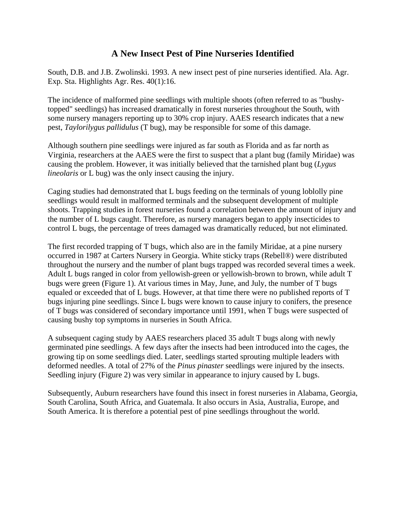## **A New Insect Pest of Pine Nurseries Identified**

South, D.B. and J.B. Zwolinski. 1993. A new insect pest of pine nurseries identified. Ala. Agr. Exp. Sta. Highlights Agr. Res. 40(1):16.

The incidence of malformed pine seedlings with multiple shoots (often referred to as "bushytopped" seedlings) has increased dramatically in forest nurseries throughout the South, with some nursery managers reporting up to 30% crop injury. AAES research indicates that a new pest, *Taylorilygus pallidulus* (T bug), may be responsible for some of this damage.

Although southern pine seedlings were injured as far south as Florida and as far north as Virginia, researchers at the AAES were the first to suspect that a plant bug (family Miridae) was causing the problem. However, it was initially believed that the tarnished plant bug (*Lygus lineolaris* or L bug) was the only insect causing the injury.

Caging studies had demonstrated that L bugs feeding on the terminals of young loblolly pine seedlings would result in malformed terminals and the subsequent development of multiple shoots. Trapping studies in forest nurseries found a correlation between the amount of injury and the number of L bugs caught. Therefore, as nursery managers began to apply insecticides to control L bugs, the percentage of trees damaged was dramatically reduced, but not eliminated.

The first recorded trapping of T bugs, which also are in the family Miridae, at a pine nursery occurred in 1987 at Carters Nursery in Georgia. White sticky traps (Rebell®) were distributed throughout the nursery and the number of plant bugs trapped was recorded several times a week. Adult L bugs ranged in color from yellowish-green or yellowish-brown to brown, while adult T bugs were green (Figure 1). At various times in May, June, and July, the number of T bugs equaled or exceeded that of L bugs. However, at that time there were no published reports of T bugs injuring pine seedlings. Since L bugs were known to cause injury to conifers, the presence of T bugs was considered of secondary importance until 1991, when T bugs were suspected of causing bushy top symptoms in nurseries in South Africa.

A subsequent caging study by AAES researchers placed 35 adult T bugs along with newly germinated pine seedlings. A few days after the insects had been introduced into the cages, the growing tip on some seedlings died. Later, seedlings started sprouting multiple leaders with deformed needles. A total of 27% of the *Pinus pinaster* seedlings were injured by the insects. Seedling injury (Figure 2) was very similar in appearance to injury caused by L bugs.

Subsequently, Auburn researchers have found this insect in forest nurseries in Alabama, Georgia, South Carolina, South Africa, and Guatemala. It also occurs in Asia, Australia, Europe, and South America. It is therefore a potential pest of pine seedlings throughout the world.